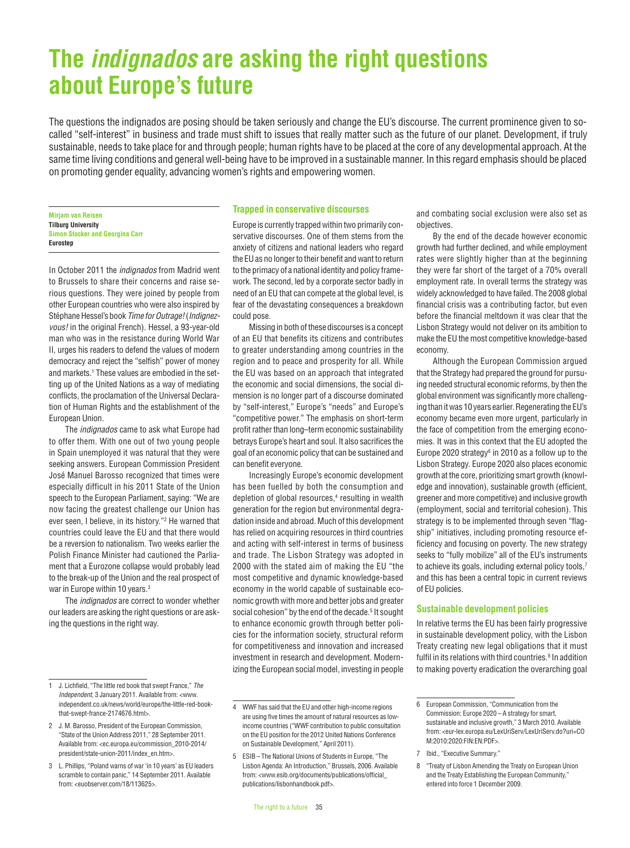# **The** *indignados* **are asking the right questions about Europe's future**

The questions the indignados are posing should be taken seriously and change the EU's discourse. The current prominence given to socalled "self-interest" in business and trade must shift to issues that really matter such as the future of our planet. Development, if truly sustainable, needs to take place for and through people; human rights have to be placed at the core of any developmental approach. At the same time living conditions and general well-being have to be improved in a sustainable manner. In this regard emphasis should be placed on promoting gender equality, advancing women's rights and empowering women.

**Mirjam van Reisen Tilburg University Simon Stocker and Georgina Carr Eurostep**

In October 2011 the *indignados* from Madrid went to Brussels to share their concerns and raise serious questions. They were joined by people from other European countries who were also inspired by Stéphane Hessel's book *Time for Outrage!* (*Indignezvous!* in the original French). Hessel, a 93-year-old man who was in the resistance during World War II, urges his readers to defend the values of modern democracy and reject the "selfish" power of money and markets.<sup>1</sup> These values are embodied in the setting up of the United Nations as a way of mediating conflicts, the proclamation of the Universal Declaration of Human Rights and the establishment of the European Union.

The *indignados* came to ask what Europe had to offer them. With one out of two young people in Spain unemployed it was natural that they were seeking answers. European Commission President José Manuel Barosso recognized that times were especially difficult in his 2011 State of the Union speech to the European Parliament, saying: "We are now facing the greatest challenge our Union has ever seen, I believe, in its history."2 He warned that countries could leave the EU and that there would be a reversion to nationalism. Two weeks earlier the Polish Finance Minister had cautioned the Parliament that a Eurozone collapse would probably lead to the break-up of the Union and the real prospect of war in Europe within 10 years.<sup>3</sup>

The *indignados* are correct to wonder whether our leaders are asking the right questions or are asking the questions in the right way.

#### **Trapped in conservative discourses**

Europe is currently trapped within two primarily conservative discourses. One of them stems from the anxiety of citizens and national leaders who regard the EU as no longer to their benefit and want to return to the primacy of a national identity and policy framework. The second, led by a corporate sector badly in need of an EU that can compete at the global level, is fear of the devastating consequences a breakdown could pose.

Missing in both of these discourses is a concept of an EU that benefits its citizens and contributes to greater understanding among countries in the region and to peace and prosperity for all. While the EU was based on an approach that integrated the economic and social dimensions, the social dimension is no longer part of a discourse dominated by "self-interest," Europe's "needs" and Europe's "competitive power." The emphasis on short-term profit rather than long–term economic sustainability betrays Europe's heart and soul. It also sacrifices the goal of an economic policy that can be sustained and can benefit everyone.

Increasingly Europe's economic development has been fuelled by both the consumption and depletion of global resources,<sup>4</sup> resulting in wealth generation for the region but environmental degradation inside and abroad. Much of this development has relied on acquiring resources in third countries and acting with self-interest in terms of business and trade. The Lisbon Strategy was adopted in 2000 with the stated aim of making the EU "the most competitive and dynamic knowledge-based economy in the world capable of sustainable economic growth with more and better jobs and greater social cohesion" by the end of the decade.<sup>5</sup> It sought to enhance economic growth through better policies for the information society, structural reform for competitiveness and innovation and increased investment in research and development. Modernizing the European social model, investing in people

and combating social exclusion were also set as objectives.

By the end of the decade however economic growth had further declined, and while employment rates were slightly higher than at the beginning they were far short of the target of a 70% overall employment rate. In overall terms the strategy was widely acknowledged to have failed. The 2008 global financial crisis was a contributing factor, but even before the financial meltdown it was clear that the Lisbon Strategy would not deliver on its ambition to make the EU the most competitive knowledge-based economy.

Although the European Commission argued that the Strategy had prepared the ground for pursuing needed structural economic reforms, by then the global environment was significantly more challenging than it was 10 years earlier. Regenerating the EU's economy became even more urgent, particularly in the face of competition from the emerging economies. It was in this context that the EU adopted the Europe 2020 strategy $6$  in 2010 as a follow up to the Lisbon Strategy. Europe 2020 also places economic growth at the core, prioritizing smart growth (knowledge and innovation), sustainable growth (efficient, greener and more competitive) and inclusive growth (employment, social and territorial cohesion). This strategy is to be implemented through seven "flagship" initiatives, including promoting resource efficiency and focusing on poverty. The new strategy seeks to "fully mobilize" all of the EU's instruments to achieve its goals, including external policy tools,<sup>7</sup> and this has been a central topic in current reviews of EU policies.

### **Sustainable development policies**

In relative terms the EU has been fairly progressive in sustainable development policy, with the Lisbon Treaty creating new legal obligations that it must fulfil in its relations with third countries.<sup>8</sup> In addition to making poverty eradication the overarching goal

<sup>1</sup> J. Lichfield, "The little red book that swept France," *The Independent*, 3 January 2011. Available from: <www. independent.co.uk/news/world/europe/the-little-red-bookthat-swent-france-2174676.html>

<sup>2</sup> J. M. Barosso, President of the European Commission, "State of the Union Address 2011," 28 September 2011. Available from: <ec.europa.eu/commission\_2010-2014/ president/state-union-2011/index\_en.htm>

<sup>3</sup> L. Phillips, "Poland warns of war 'in 10 years' as EU leaders scramble to contain panic," 14 September 2011. Available from: <euobserver.com/18/113625>.

<sup>4</sup> WWF has said that the EU and other high-income regions are using five times the amount of natural resources as lowincome countries ("WWF contribution to public consultation on the EU position for the 2012 United Nations Conference on Sustainable Development," April 2011).

<sup>5</sup> ESIB – The National Unions of Students in Europe, "The Lisbon Agenda: An Introduction," Brussels, 2006. Available from: <www.esib.org/documents/publications/official\_ publications/lisbonhandbook.pdf>.

<sup>6</sup> European Commission, "Communication from the Commission: Furope 2020 – A strategy for smart sustainable and inclusive growth," 3 March 2010. Available from: <eur-lex.europa.eu/LexUriServ/LexUriServ.do?uri=CO M:2010:2020:FIN:EN:PDF>.

<sup>7</sup> Ibid., "Executive Summary.

<sup>8</sup> "Treaty of Lisbon Amending the Treaty on European Union and the Treaty Establishing the European Community," entered into force 1 December 2009.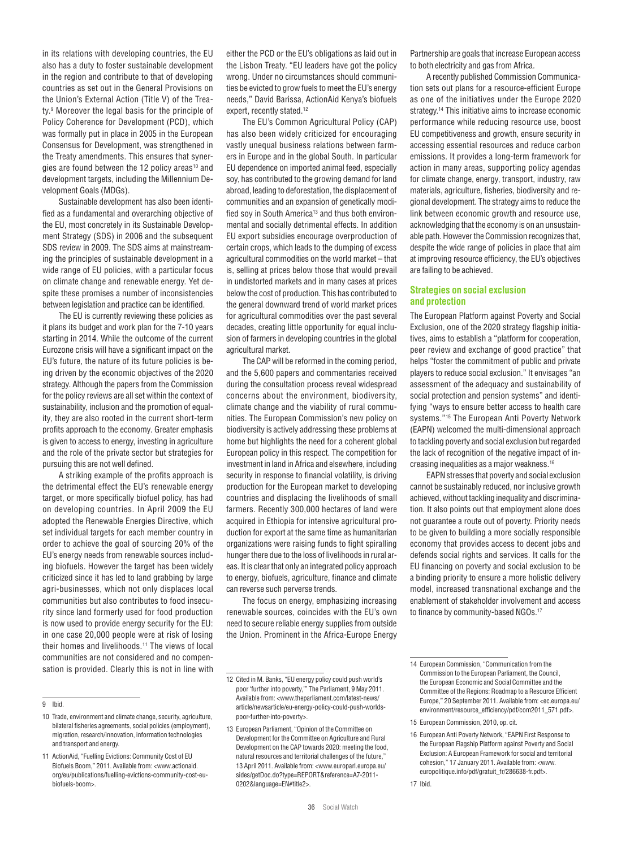in its relations with developing countries, the EU also has a duty to foster sustainable development in the region and contribute to that of developing countries as set out in the General Provisions on the Union's External Action (Title V) of the Treaty.9 Moreover the legal basis for the principle of Policy Coherence for Development (PCD), which was formally put in place in 2005 in the European Consensus for Development, was strengthened in the Treaty amendments. This ensures that synergies are found between the 12 policy areas<sup>10</sup> and development targets, including the Millennium Development Goals (MDGs).

Sustainable development has also been identified as a fundamental and overarching objective of the EU, most concretely in its Sustainable Development Strategy (SDS) in 2006 and the subsequent SDS review in 2009. The SDS aims at mainstreaming the principles of sustainable development in a wide range of EU policies, with a particular focus on climate change and renewable energy. Yet despite these promises a number of inconsistencies between legislation and practice can be identified.

The EU is currently reviewing these policies as it plans its budget and work plan for the 7-10 years starting in 2014. While the outcome of the current Eurozone crisis will have a significant impact on the EU's future, the nature of its future policies is being driven by the economic objectives of the 2020 strategy. Although the papers from the Commission for the policy reviews are all set within the context of sustainability, inclusion and the promotion of equality, they are also rooted in the current short-term profits approach to the economy. Greater emphasis is given to access to energy, investing in agriculture and the role of the private sector but strategies for pursuing this are not well defined.

A striking example of the profits approach is the detrimental effect the EU's renewable energy target, or more specifically biofuel policy, has had on developing countries. In April 2009 the EU adopted the Renewable Energies Directive, which set individual targets for each member country in order to achieve the goal of sourcing 20% of the EU's energy needs from renewable sources including biofuels. However the target has been widely criticized since it has led to land grabbing by large agri-businesses, which not only displaces local communities but also contributes to food insecurity since land formerly used for food production is now used to provide energy security for the EU: in one case 20,000 people were at risk of losing their homes and livelihoods.<sup>11</sup> The views of local communities are not considered and no compensation is provided. Clearly this is not in line with either the PCD or the EU's obligations as laid out in the Lisbon Treaty. "EU leaders have got the policy wrong. Under no circumstances should communities be evicted to grow fuels to meet the EU's energy needs," David Barissa, ActionAid Kenya's biofuels expert, recently stated.<sup>12</sup>

The EU's Common Agricultural Policy (CAP) has also been widely criticized for encouraging vastly unequal business relations between farmers in Europe and in the global South. In particular EU dependence on imported animal feed, especially soy, has contributed to the growing demand for land abroad, leading to deforestation, the displacement of communities and an expansion of genetically modified soy in South America<sup>13</sup> and thus both environmental and socially detrimental effects. In addition EU export subsidies encourage overproduction of certain crops, which leads to the dumping of excess agricultural commodities on the world market – that is, selling at prices below those that would prevail in undistorted markets and in many cases at prices below the cost of production. This has contributed to the general downward trend of world market prices for agricultural commodities over the past several decades, creating little opportunity for equal inclusion of farmers in developing countries in the global agricultural market.

The CAP will be reformed in the coming period, and the 5,600 papers and commentaries received during the consultation process reveal widespread concerns about the environment, biodiversity, climate change and the viability of rural communities. The European Commission's new policy on biodiversity is actively addressing these problems at home but highlights the need for a coherent global European policy in this respect. The competition for investment in land in Africa and elsewhere, including security in response to financial volatility, is driving production for the European market to developing countries and displacing the livelihoods of small farmers. Recently 300,000 hectares of land were acquired in Ethiopia for intensive agricultural production for export at the same time as humanitarian organizations were raising funds to fight spiralling hunger there due to the loss of livelihoods in rural areas. It is clear that only an integrated policy approach to energy, biofuels, agriculture, finance and climate can reverse such perverse trends.

The focus on energy, emphasizing increasing renewable sources, coincides with the EU's own need to secure reliable energy supplies from outside the Union. Prominent in the Africa-Europe Energy Partnership are goals that increase European access to both electricity and gas from Africa.

A recently published Commission Communication sets out plans for a resource-efficient Europe as one of the initiatives under the Europe 2020 strategy.14 This initiative aims to increase economic performance while reducing resource use, boost EU competitiveness and growth, ensure security in accessing essential resources and reduce carbon emissions. It provides a long-term framework for action in many areas, supporting policy agendas for climate change, energy, transport, industry, raw materials, agriculture, fisheries, biodiversity and regional development. The strategy aims to reduce the link between economic growth and resource use, acknowledging that the economy is on an unsustainable path. However the Commission recognizes that, despite the wide range of policies in place that aim at improving resource efficiency, the EU's objectives are failing to be achieved.

## **Strategies on social exclusion and protection**

The European Platform against Poverty and Social Exclusion, one of the 2020 strategy flagship initiatives, aims to establish a "platform for cooperation, peer review and exchange of good practice" that helps "foster the commitment of public and private players to reduce social exclusion." It envisages "an assessment of the adequacy and sustainability of social protection and pension systems" and identifying "ways to ensure better access to health care systems."15 The European Anti Poverty Network (EAPN) welcomed the multi-dimensional approach to tackling poverty and social exclusion but regarded the lack of recognition of the negative impact of increasing inequalities as a major weakness.<sup>16</sup>

EAPN stresses that poverty and social exclusion cannot be sustainably reduced, nor inclusive growth achieved, without tackling inequality and discrimination. It also points out that employment alone does not guarantee a route out of poverty. Priority needs to be given to building a more socially responsible economy that provides access to decent jobs and defends social rights and services. It calls for the EU financing on poverty and social exclusion to be a binding priority to ensure a more holistic delivery model, increased transnational exchange and the enablement of stakeholder involvement and access to finance by community-based NGOs.<sup>17</sup>

<sup>9</sup> Ibid.

<sup>10</sup> Trade, environment and climate change, security, agriculture, bilateral fisheries agreements, social policies (employment), migration, research/innovation, information technologies and transport and energy.

<sup>11</sup> ActionAid, "Fuelling Evictions: Community Cost of EU Biofuels Boom," 2011. Available from: <www.actionaid. org/eu/publications/fuelling-evictions-community-cost-eubiofuels-boom>.

<sup>12</sup> Cited in M. Banks, "EU energy policy could push world's poor 'further into poverty,'" The Parliament, 9 May 2011. Available from: <www.theparliament.com/latest-news/ article/newsarticle/eu-energy-policy-could-push-worldspoor-further-into-poverty>.

<sup>13</sup> European Parliament, "Opinion of the Committee on Development for the Committee on Agriculture and Rural Development on the CAP towards 2020; meeting the food natural resources and territorial challenges of the future," 13 April 2011. Available from: <www.europarl.europa.eu/ sides/getDoc.do?type=REPORT&reference=A7-2011- 0202&language=EN#title2>.

<sup>14</sup> European Commission, "Communication from the Commission to the European Parliament, the Council, the European Economic and Social Committee and the Committee of the Regions: Roadmap to a Resource Efficient Europe," 20 September 2011. Available from: <ec.europa.eu/ environment/resource\_efficiency/pdf/com2011\_571.pdf>.

<sup>15</sup> European Commission, 2010, op. cit.

<sup>16</sup> European Anti Poverty Network, "EAPN First Response to the European Flagship Platform against Poverty and Social Exclusion: A European Framework for social and territorial cohesion," 17 January 2011. Available from: <www. europolitique.info/pdf/gratuit\_fr/286638-fr.pdf>.

<sup>17</sup> Ibid.